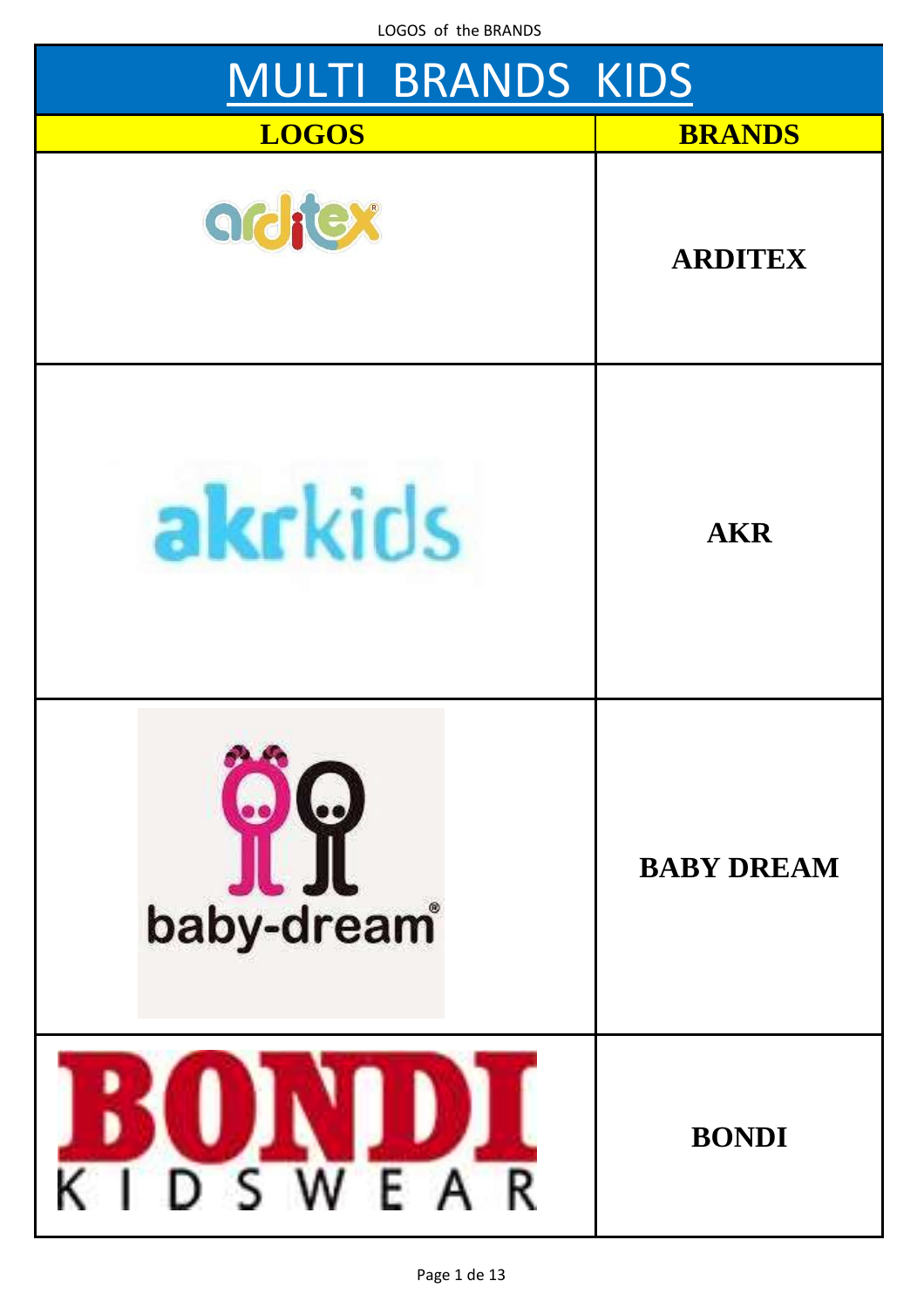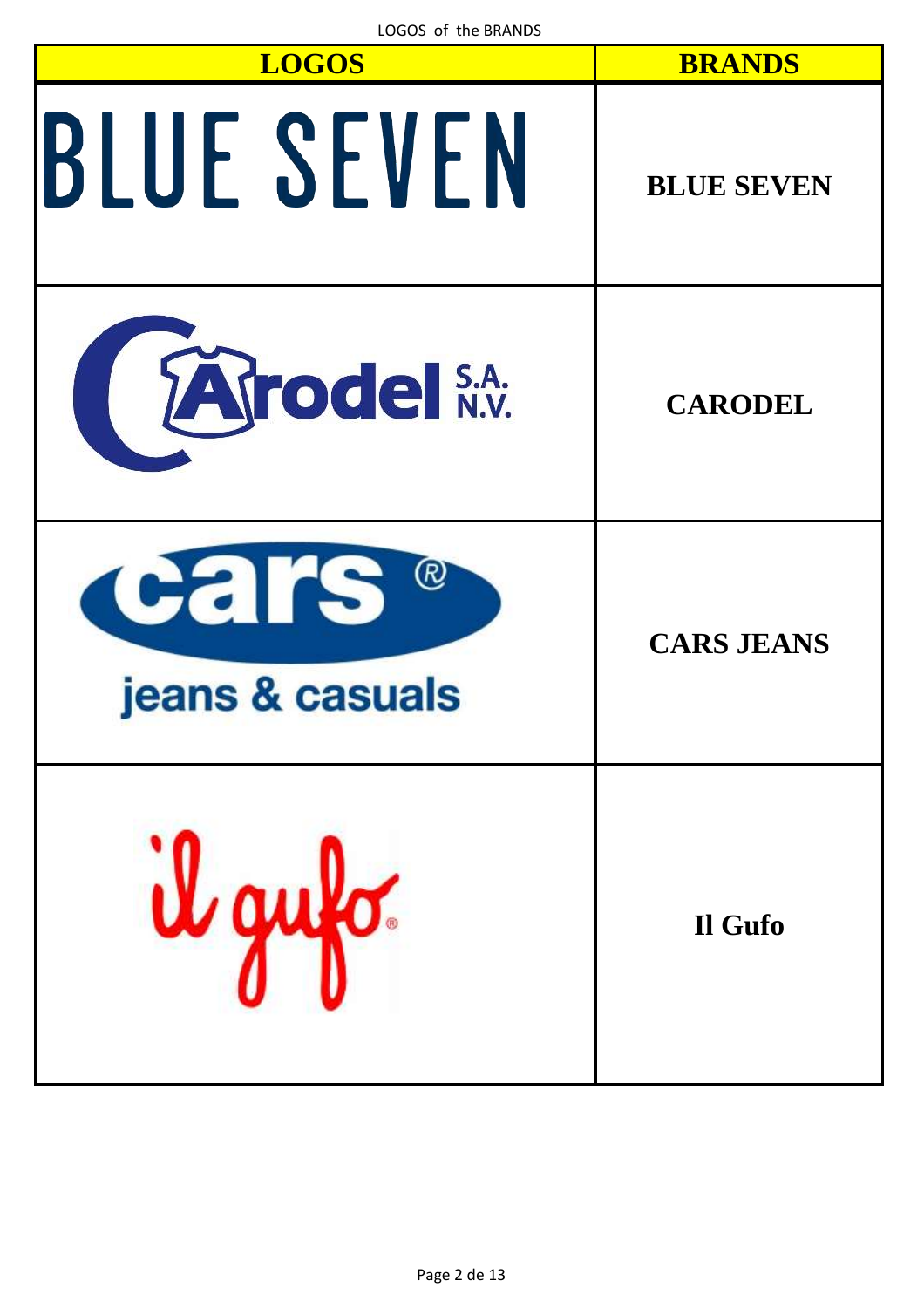| LUGUS OT THE BRANDS<br><b>LOGOS</b> | <b>BRANDS</b>     |
|-------------------------------------|-------------------|
| <b>BLUE SEVEN</b>                   | <b>BLUE SEVEN</b> |
| Tarodel S.A.                        | <b>CARODEL</b>    |
| Cars &<br>jeans & casuals           | <b>CARS JEANS</b> |
| gufo.                               | Il Gufo           |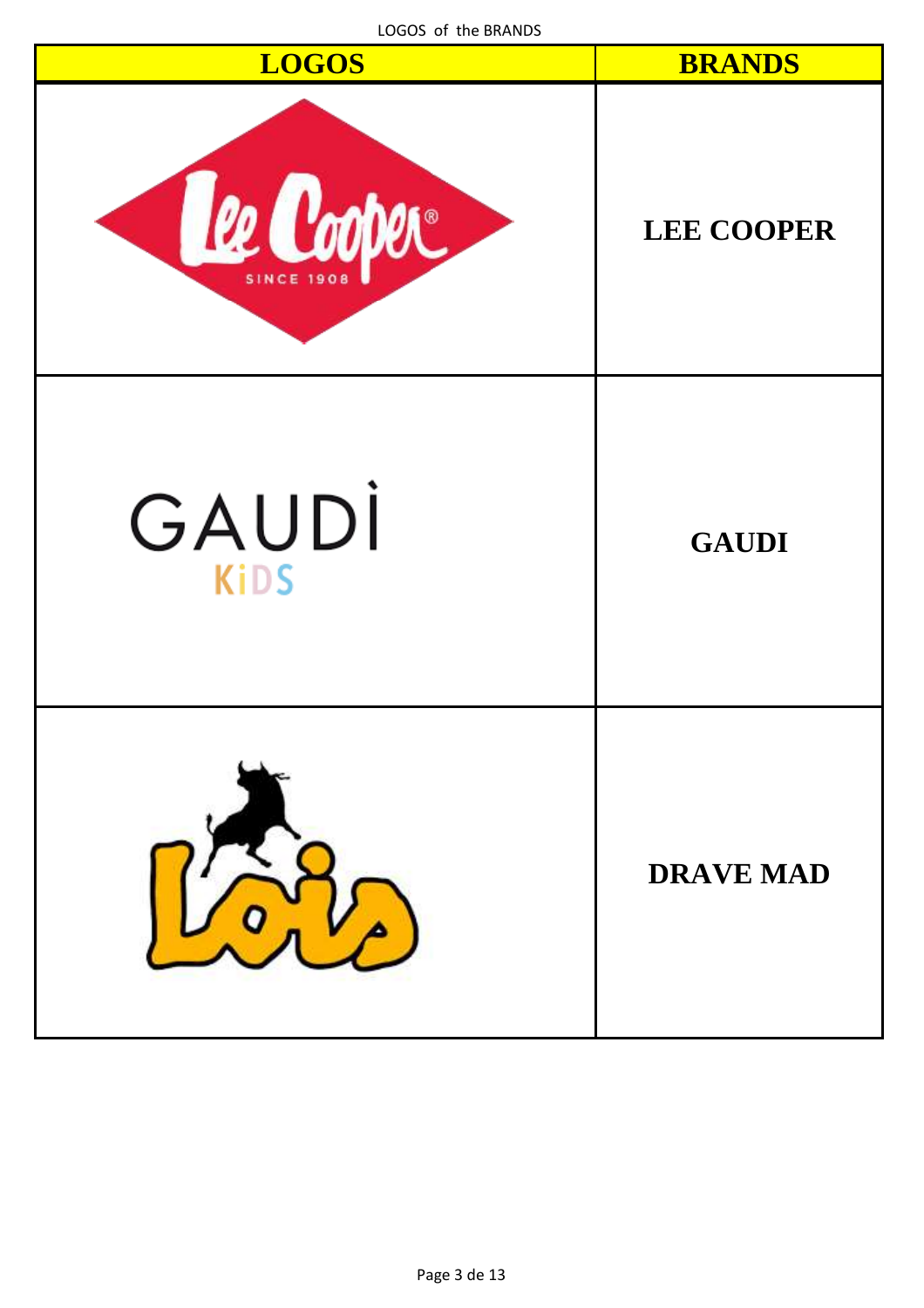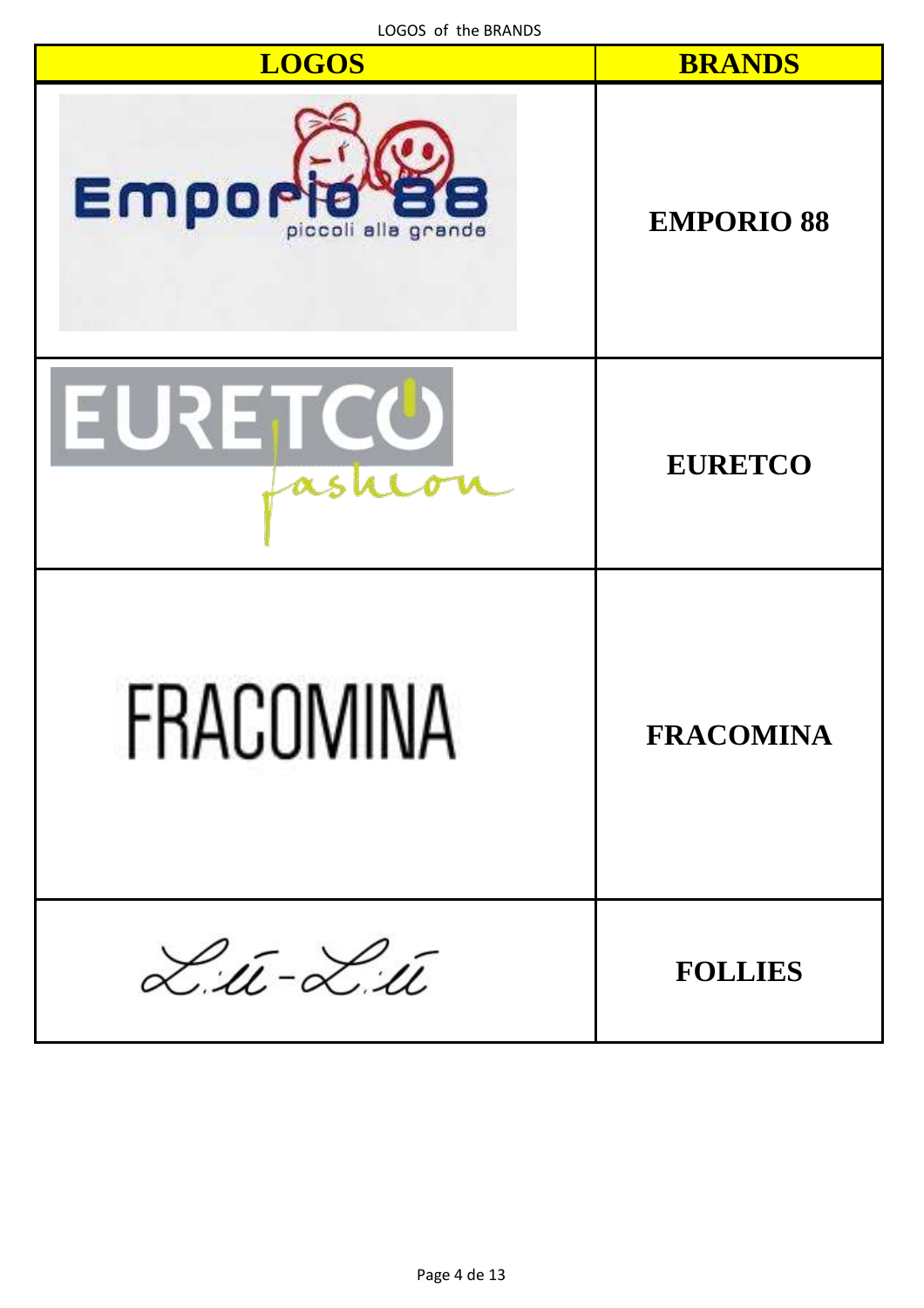| LOGOS of the BRANDS |  |  |
|---------------------|--|--|
|---------------------|--|--|

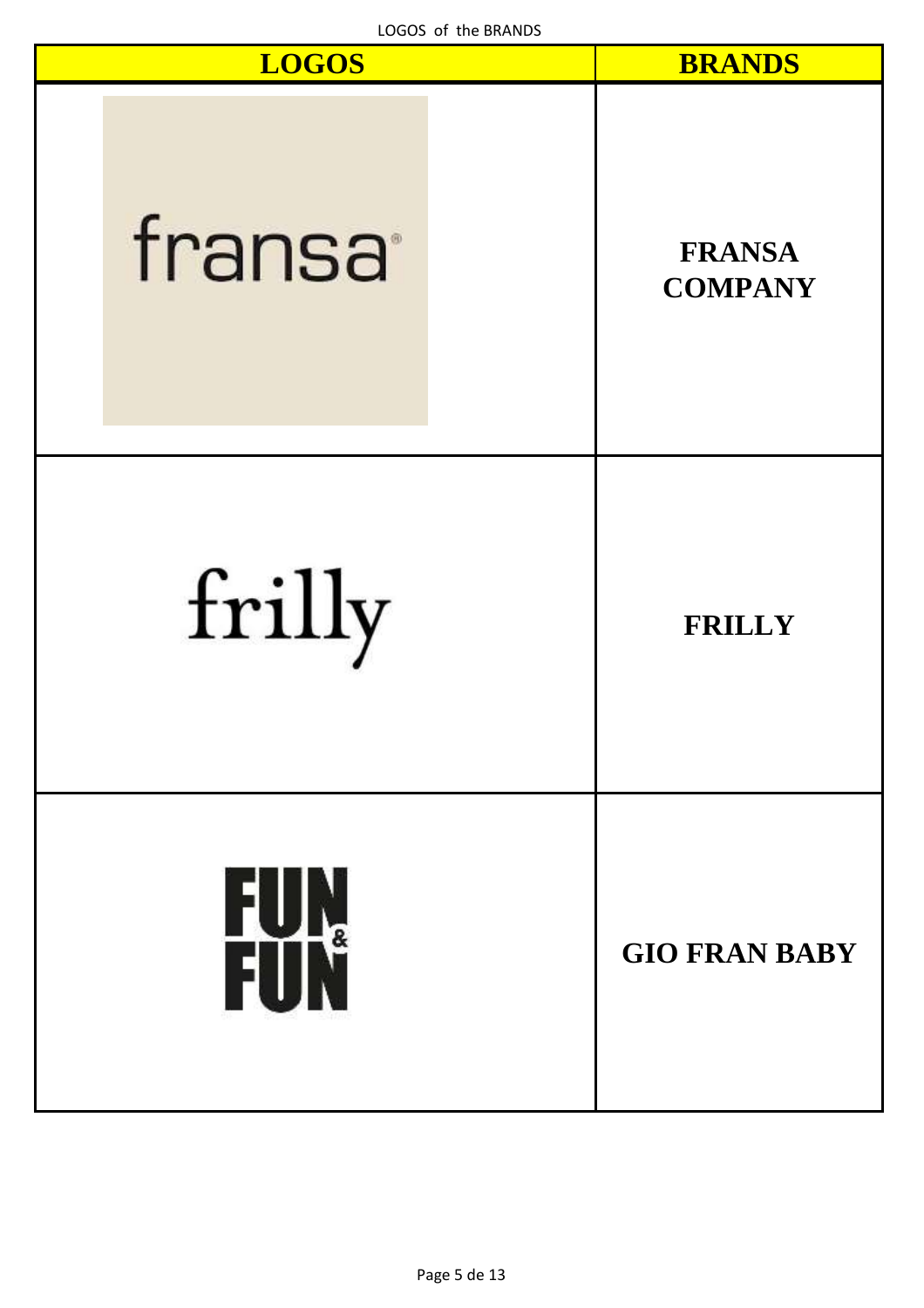| LOGOS of the BRANDS<br><b>LOGOS</b> | <b>BRANDS</b>                   |
|-------------------------------------|---------------------------------|
| fransa                              | <b>FRANSA</b><br><b>COMPANY</b> |
| frilly                              | <b>FRILLY</b>                   |
| FUN<br>FUN                          | <b>GIO FRAN BABY</b>            |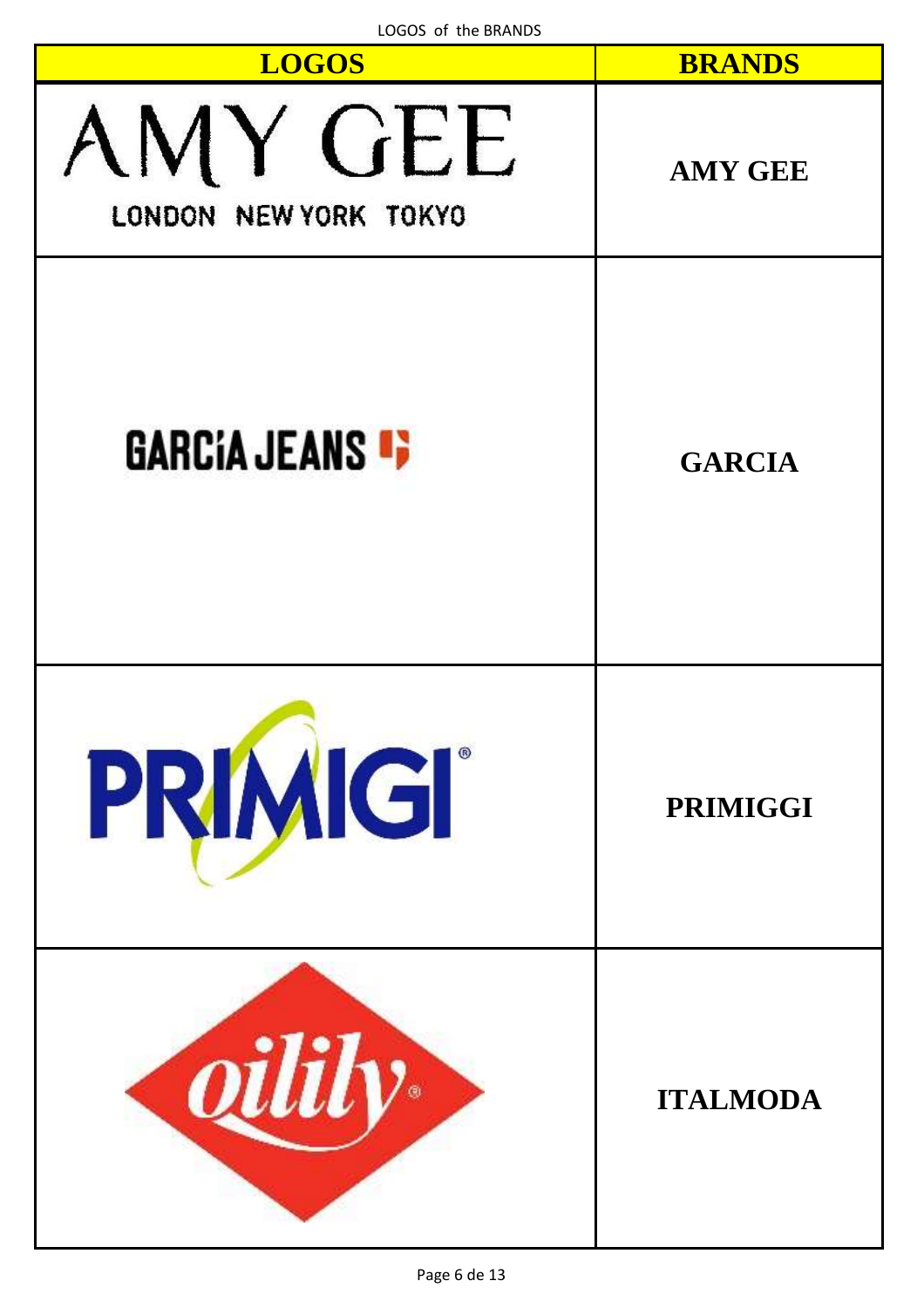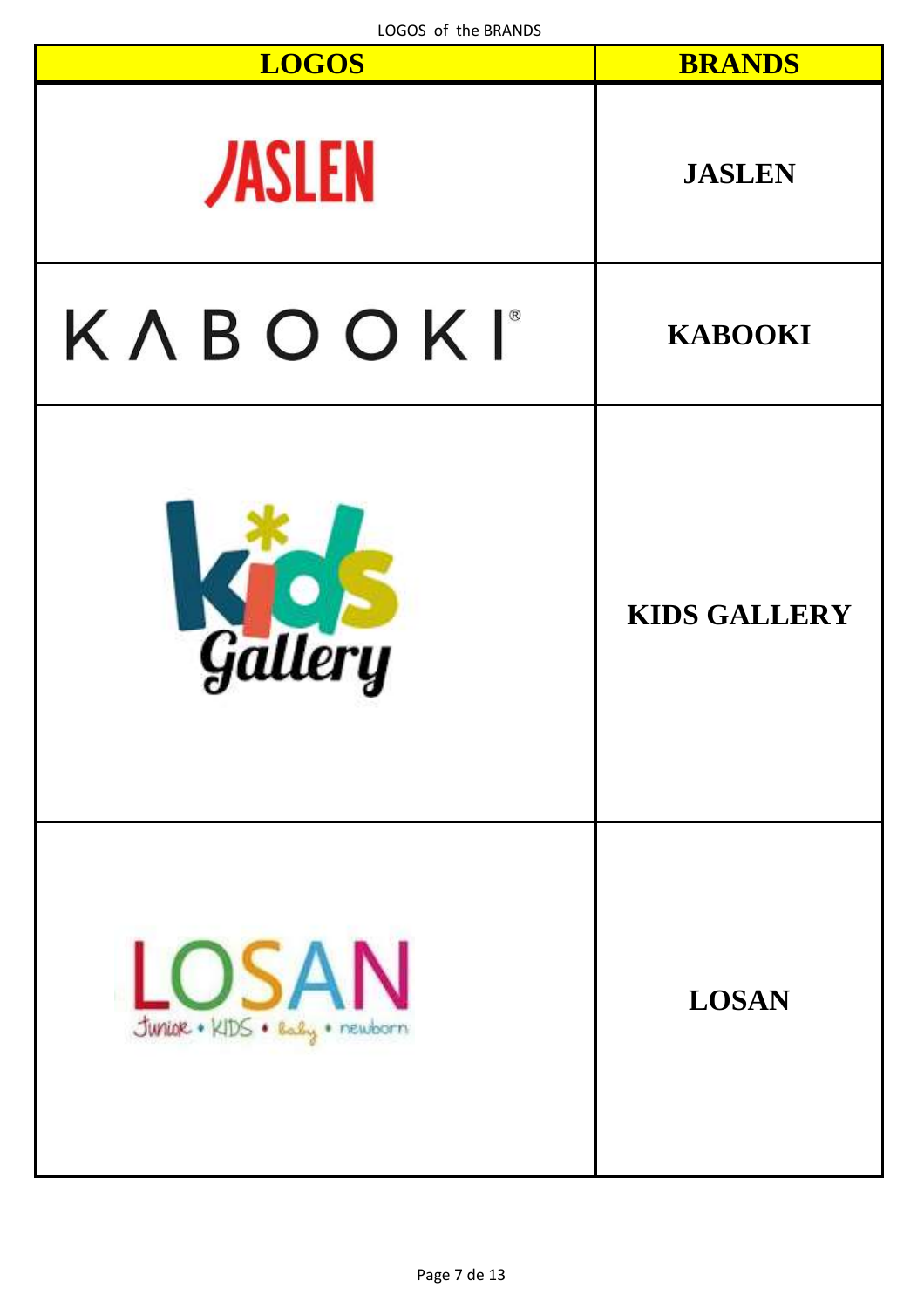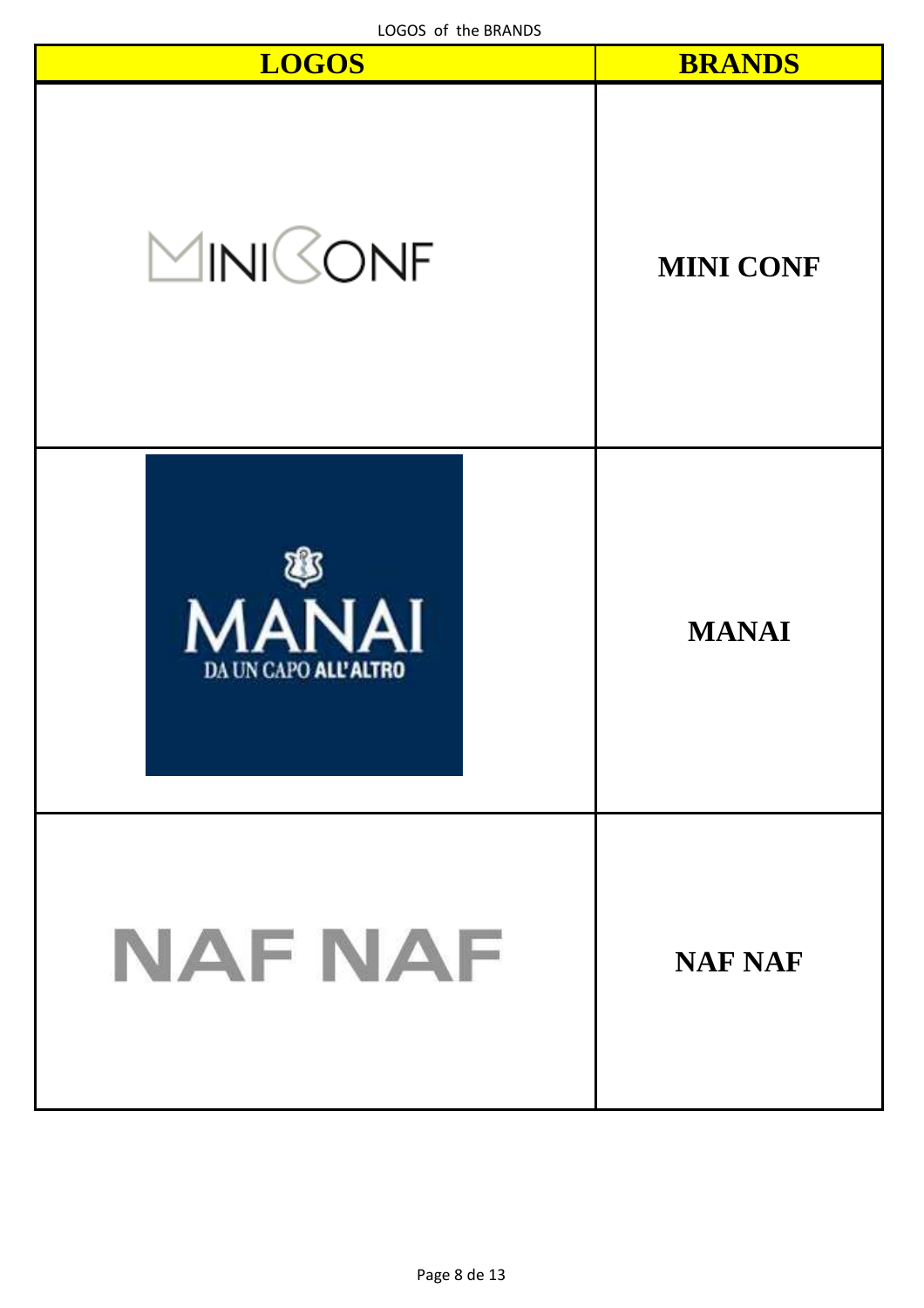| LOGOS of the BRANDS<br><b>LOGOS</b>  | <b>BRANDS</b>    |
|--------------------------------------|------------------|
| MINISONF                             | <b>MINI CONF</b> |
| <b>MANAI</b><br>DA UN CAPO ALL'ALTRO | <b>MANAI</b>     |
| NAF NAF                              | <b>NAF NAF</b>   |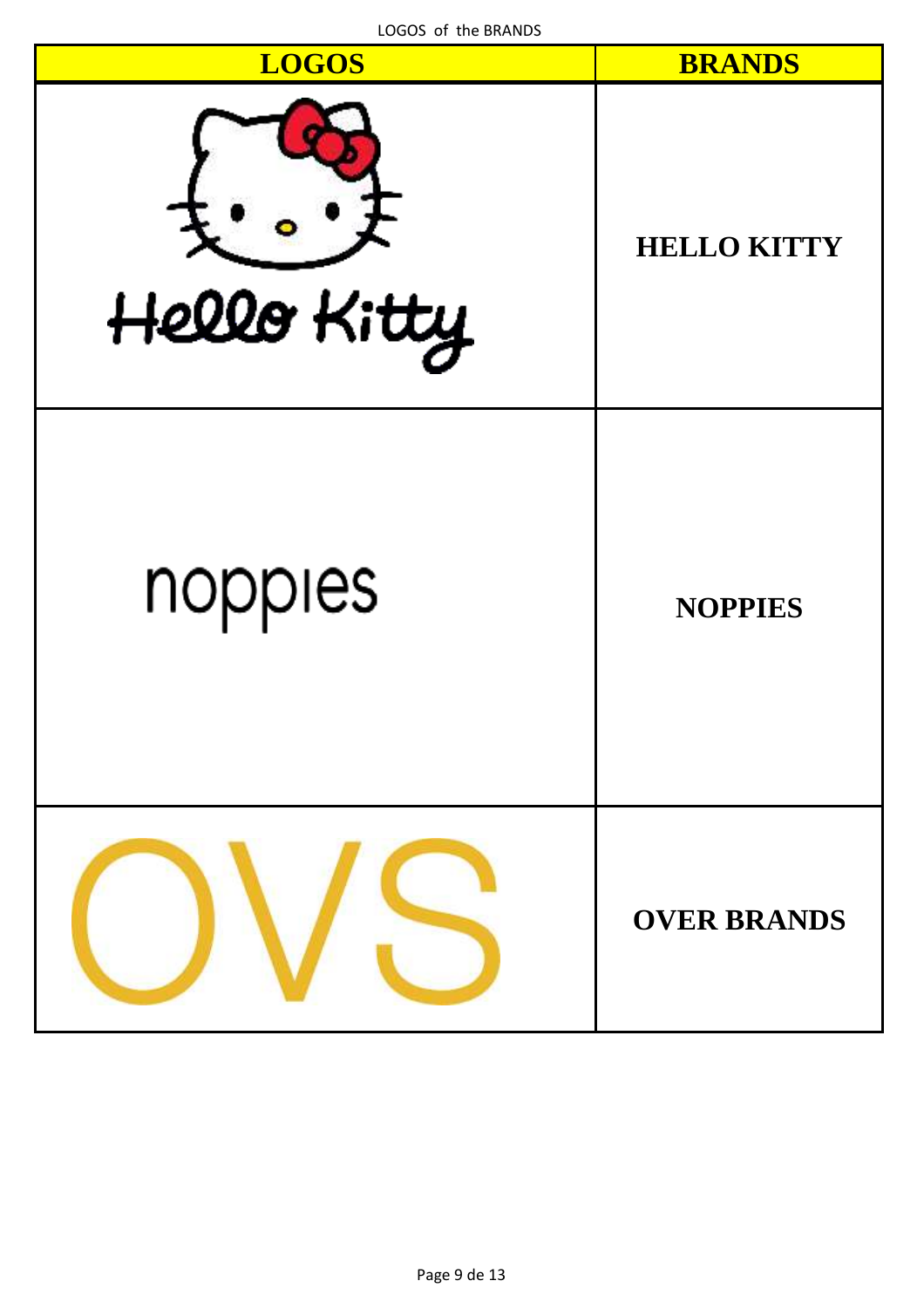| LUGUS OF THE BRANDS<br><b>LOGOS</b> | <b>BRANDS</b>      |
|-------------------------------------|--------------------|
| Hello Kitty                         | <b>HELLO KITTY</b> |
| nopples                             | <b>NOPPIES</b>     |
|                                     | <b>OVER BRANDS</b> |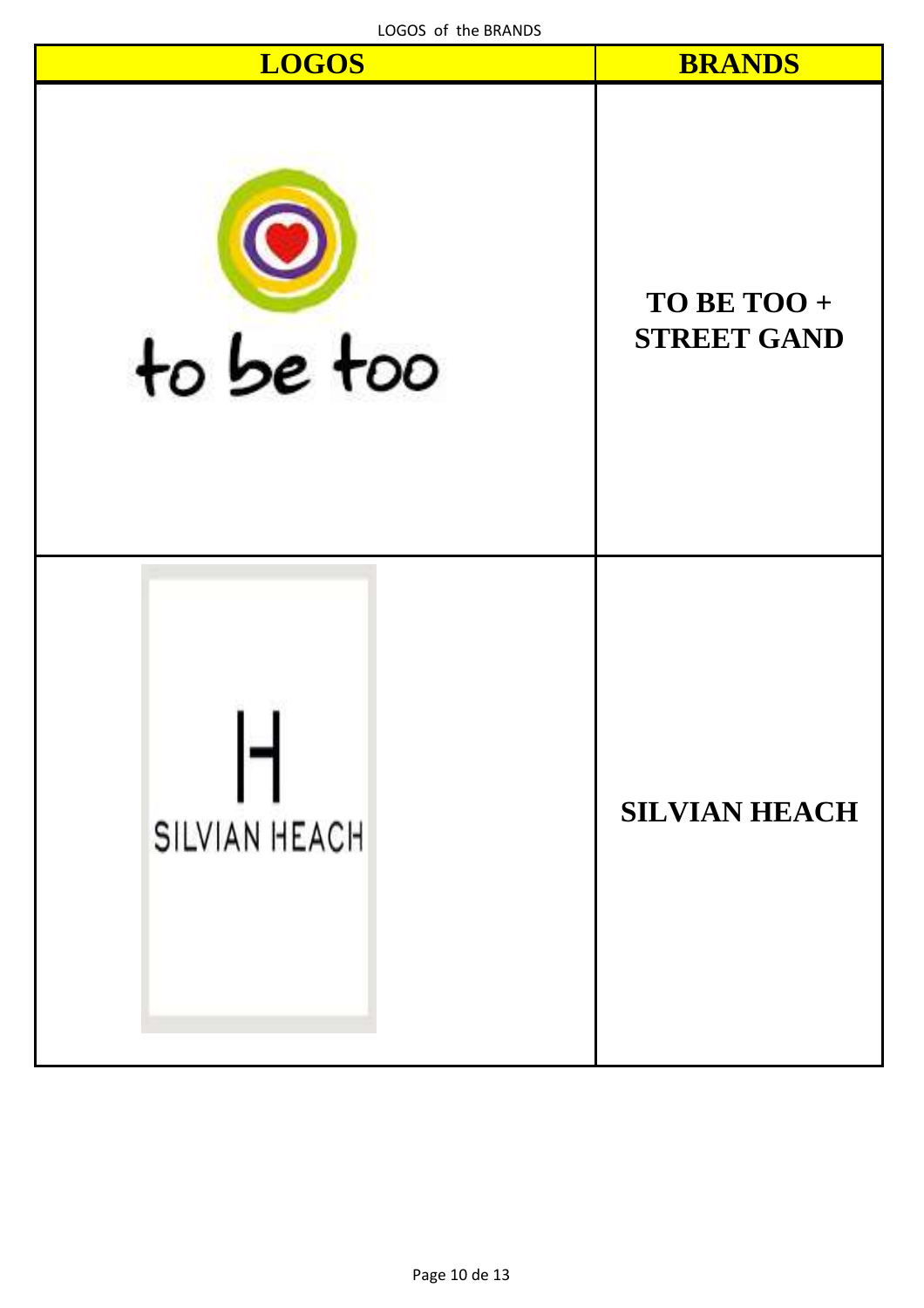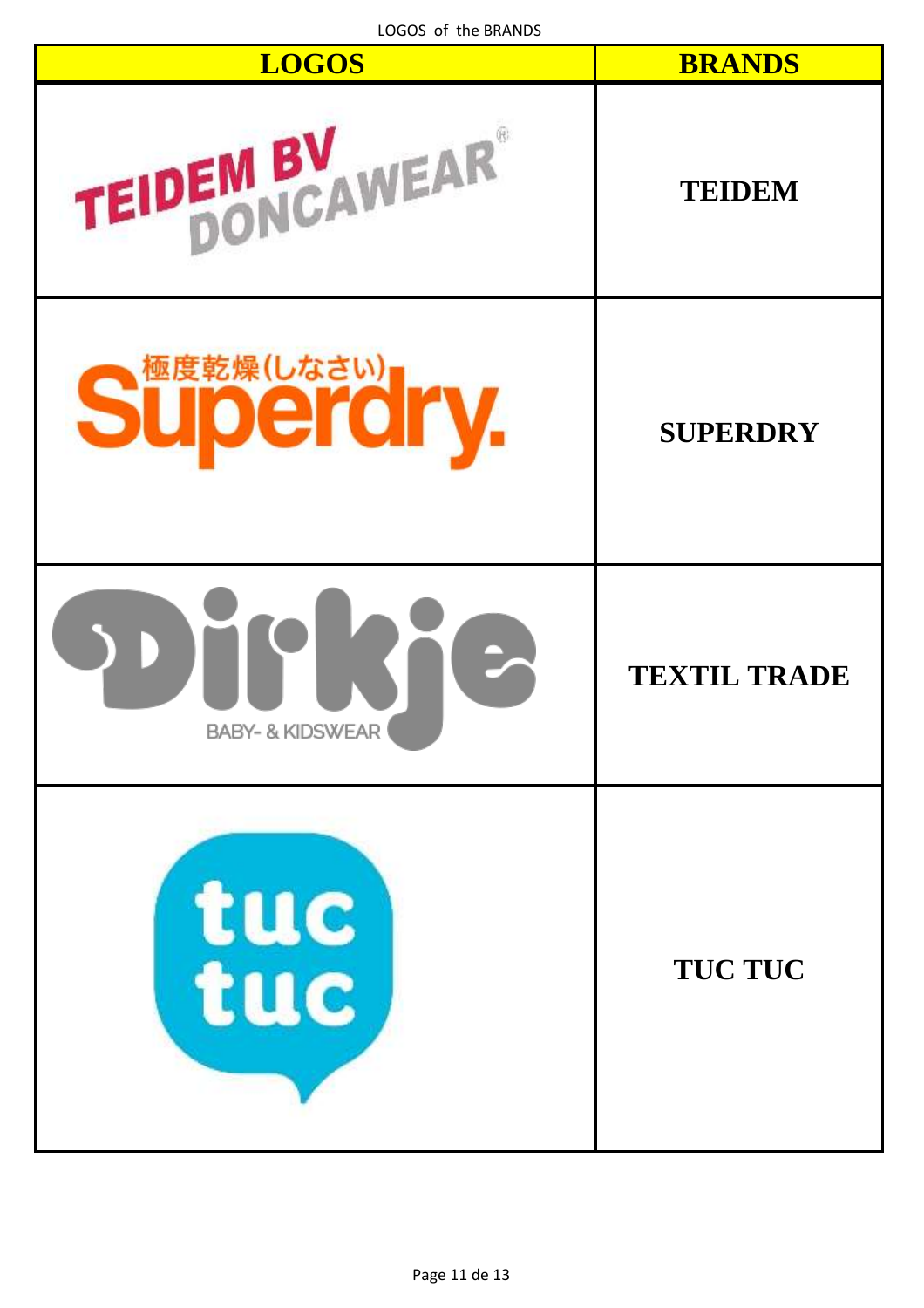| <b>LOGOS</b>                | <b>BRANDS</b>       |
|-----------------------------|---------------------|
| TEIDEM BY WEAR              | <b>TEIDEM</b>       |
| Superdry.                   | <b>SUPERDRY</b>     |
| <b>BABY- &amp; KIDSWEAR</b> | <b>TEXTIL TRADE</b> |
| tuc                         | <b>TUC TUC</b>      |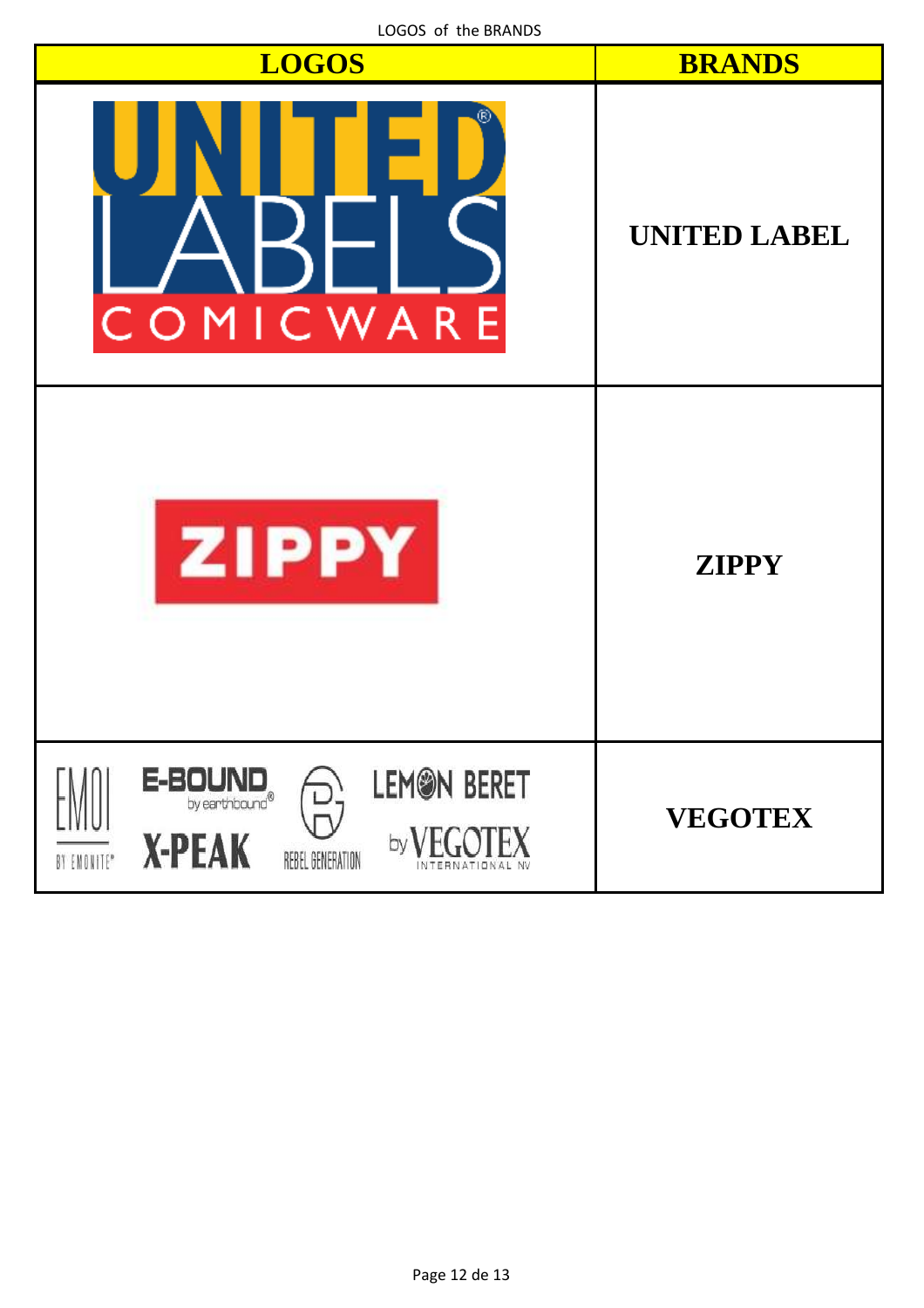| LOGOS OF the BRANDS<br><b>LOGOS</b>                                                                     | <b>BRANDS</b>       |
|---------------------------------------------------------------------------------------------------------|---------------------|
| COMICWARE                                                                                               | <b>UNITED LABEL</b> |
| <b>ZIPPY</b>                                                                                            | <b>ZIPPY</b>        |
| <b>LEMON BERET</b><br>$E-BOUNDby earthbound®$<br><b>X-PEAK</b><br>by<br>BY EMONITE®<br>REBEL GENERATION | <b>VEGOTEX</b>      |